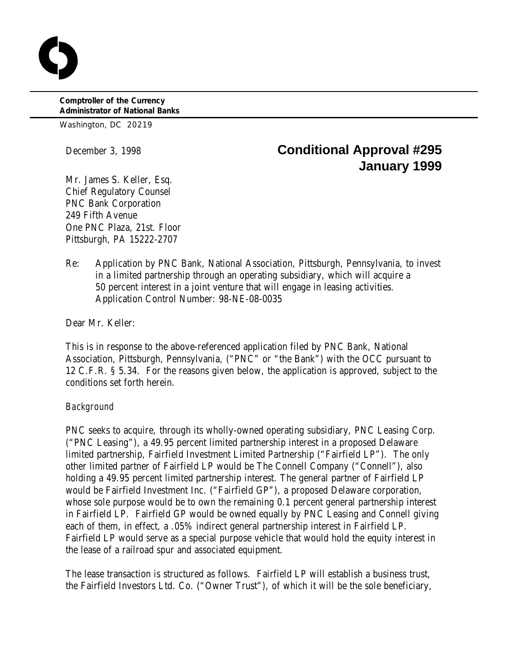**Comptroller of the Currency Administrator of National Banks**

Washington, DC 20219

# December 3, 1998 **Conditional Approval #295 January 1999**

Mr. James S. Keller, Esq. Chief Regulatory Counsel PNC Bank Corporation 249 Fifth Avenue One PNC Plaza, 21st. Floor Pittsburgh, PA 15222-2707

Re: Application by PNC Bank, National Association, Pittsburgh, Pennsylvania, to invest in a limited partnership through an operating subsidiary, which will acquire a 50 percent interest in a joint venture that will engage in leasing activities. Application Control Number: 98-NE-08-0035

Dear Mr. Keller:

This is in response to the above-referenced application filed by PNC Bank, National Association, Pittsburgh, Pennsylvania, ("PNC" or "the Bank") with the OCC pursuant to 12 C.F.R. § 5.34. For the reasons given below, the application is approved, subject to the conditions set forth herein.

## *Background*

PNC seeks to acquire, through its wholly-owned operating subsidiary, PNC Leasing Corp. ("PNC Leasing"), a 49.95 percent limited partnership interest in a proposed Delaware limited partnership, Fairfield Investment Limited Partnership ("Fairfield LP"). The only other limited partner of Fairfield LP would be The Connell Company ("Connell"), also holding a 49.95 percent limited partnership interest. The general partner of Fairfield LP would be Fairfield Investment Inc. ("Fairfield GP"), a proposed Delaware corporation, whose sole purpose would be to own the remaining 0.1 percent general partnership interest in Fairfield LP. Fairfield GP would be owned equally by PNC Leasing and Connell giving each of them, in effect, a .05% indirect general partnership interest in Fairfield LP. Fairfield LP would serve as a special purpose vehicle that would hold the equity interest in the lease of a railroad spur and associated equipment.

The lease transaction is structured as follows. Fairfield LP will establish a business trust, the Fairfield Investors Ltd. Co. ("Owner Trust"), of which it will be the sole beneficiary,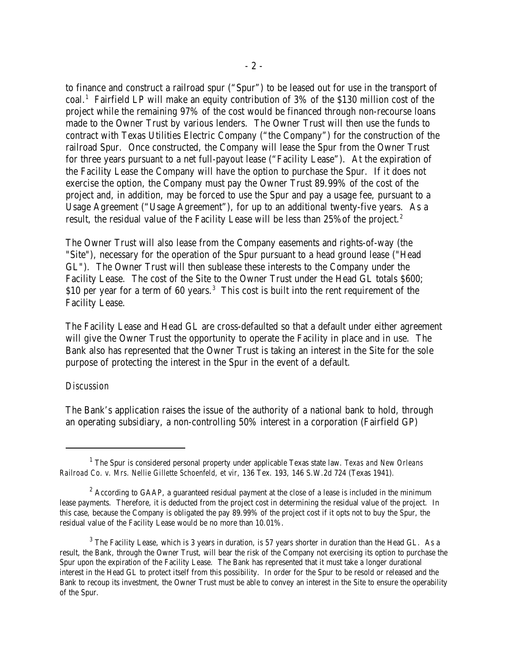to finance and construct a railroad spur ("Spur") to be leased out for use in the transport of  $\text{coal.}^1$  Fairfield LP will make an equity contribution of 3% of the \$130 million cost of the project while the remaining 97% of the cost would be financed through non-recourse loans made to the Owner Trust by various lenders. The Owner Trust will then use the funds to contract with Texas Utilities Electric Company ("the Company") for the construction of the railroad Spur. Once constructed, the Company will lease the Spur from the Owner Trust for three years pursuant to a net full-payout lease ("Facility Lease"). At the expiration of the Facility Lease the Company will have the option to purchase the Spur. If it does not exercise the option, the Company must pay the Owner Trust 89.99% of the cost of the project and, in addition, may be forced to use the Spur and pay a usage fee, pursuant to a Usage Agreement ("Usage Agreement"), for up to an additional twenty-five years. As a result, the residual value of the Facility Lease will be less than 25% of the project.<sup>2</sup>

The Owner Trust will also lease from the Company easements and rights-of-way (the "Site"), necessary for the operation of the Spur pursuant to a head ground lease ("Head GL"). The Owner Trust will then sublease these interests to the Company under the Facility Lease. The cost of the Site to the Owner Trust under the Head GL totals \$600; \$10 per year for a term of 60 years. $3$  This cost is built into the rent requirement of the Facility Lease.

The Facility Lease and Head GL are cross-defaulted so that a default under either agreement will give the Owner Trust the opportunity to operate the Facility in place and in use. The Bank also has represented that the Owner Trust is taking an interest in the Site for the sole purpose of protecting the interest in the Spur in the event of a default.

#### *Discussion*

The Bank's application raises the issue of the authority of a national bank to hold, through an operating subsidiary, a non-controlling 50% interest in a corporation (Fairfield GP)

The Spur is considered personal property under applicable Texas state law. *Texas and New Orleans* <sup>1</sup> *Railroad Co. v. Mrs. Nellie Gillette Schoenfeld, et vir,* 136 Tex. 193, 146 S.W.2d 724 (Texas 1941)*.*

 $2^2$  According to GAAP, a guaranteed residual payment at the close of a lease is included in the minimum lease payments. Therefore, it is deducted from the project cost in determining the residual value of the project. In this case, because the Company is obligated the pay 89.99% of the project cost if it opts not to buy the Spur, the residual value of the Facility Lease would be no more than 10.01%.

 $3$  The Facility Lease, which is 3 years in duration, is 57 years shorter in duration than the Head GL. As a result, the Bank, through the Owner Trust, will bear the risk of the Company not exercising its option to purchase the Spur upon the expiration of the Facility Lease. The Bank has represented that it must take a longer durational interest in the Head GL to protect itself from this possibility. In order for the Spur to be resold or released and the Bank to recoup its investment, the Owner Trust must be able to convey an interest in the Site to ensure the operability of the Spur.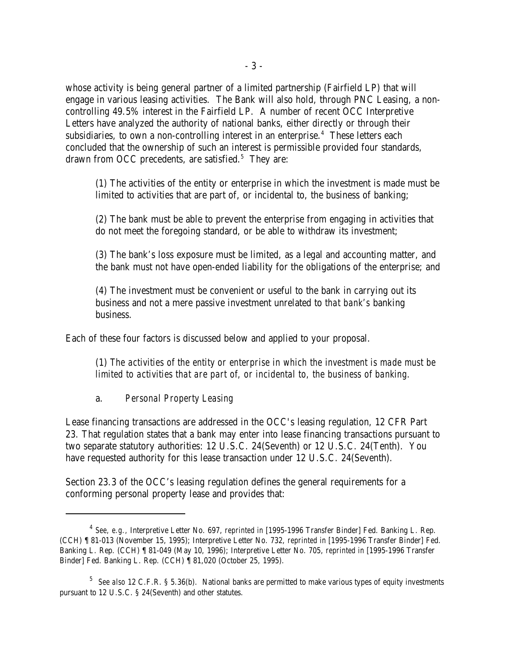whose activity is being general partner of a limited partnership (Fairfield LP) that will engage in various leasing activities. The Bank will also hold, through PNC Leasing, a noncontrolling 49.5% interest in the Fairfield LP. A number of recent OCC Interpretive Letters have analyzed the authority of national banks, either directly or through their subsidiaries, to own a non-controlling interest in an enterprise.<sup>4</sup> These letters each concluded that the ownership of such an interest is permissible provided four standards, drawn from OCC precedents, are satisfied.<sup>5</sup> They are:

(1) The activities of the entity or enterprise in which the investment is made must be limited to activities that are part of, or incidental to, the business of banking;

(2) The bank must be able to prevent the enterprise from engaging in activities that do not meet the foregoing standard, or be able to withdraw its investment;

(3) The bank's loss exposure must be limited, as a legal and accounting matter, and the bank must not have open-ended liability for the obligations of the enterprise; and

(4) The investment must be convenient or useful to the bank in carrying out its business and not a mere passive investment unrelated to *that bank's* banking business.

Each of these four factors is discussed below and applied to your proposal.

(1) *The activities of the entity or enterprise in which the investment is made must be limited to activities that are part of, or incidental to, the business of banking.*

#### a. *Personal Property Leasing*

Lease financing transactions are addressed in the OCC's leasing regulation, 12 CFR Part 23. That regulation states that a bank may enter into lease financing transactions pursuant to two separate statutory authorities: 12 U.S.C. 24(Seventh) or 12 U.S.C. 24(Tenth). You have requested authority for this lease transaction under 12 U.S.C. 24(Seventh).

Section 23.3 of the OCC's leasing regulation defines the general requirements for a conforming personal property lease and provides that:

*See, e.g.,* Interpretive Letter No. 697, *reprinted in* [1995-1996 Transfer Binder] Fed. Banking L. Rep. <sup>4</sup> (CCH) ¶ 81-013 (November 15, 1995); Interpretive Letter No. 732, *reprinted in* [1995-1996 Transfer Binder] Fed. Banking L. Rep. (CCH) ¶ 81-049 (May 10, 1996); Interpretive Letter No. 705, *reprinted in* [1995-1996 Transfer Binder] Fed. Banking L. Rep. (CCH) ¶ 81,020 (October 25, 1995).

<sup>&</sup>lt;sup>5</sup> See also 12 C.F.R. § 5.36(b). National banks are permitted to make various types of equity investments pursuant to 12 U.S.C. § 24(Seventh) and other statutes.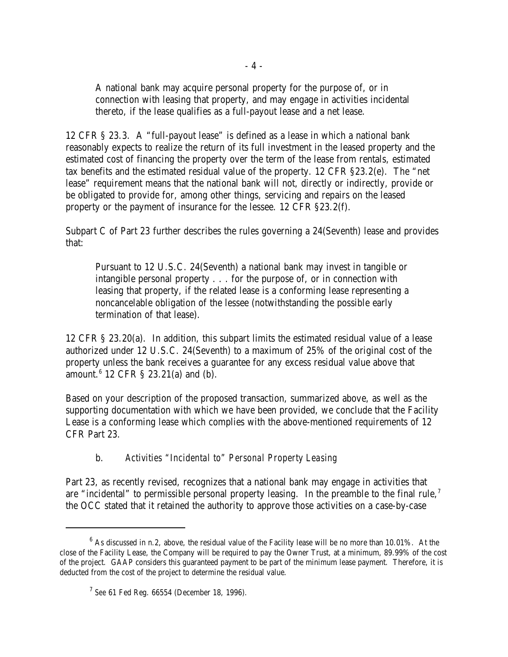A national bank may acquire personal property for the purpose of, or in connection with leasing that property, and may engage in activities incidental thereto, if the lease qualifies as a full-payout lease and a net lease.

12 CFR § 23.3. A "full-payout lease" is defined as a lease in which a national bank reasonably expects to realize the return of its full investment in the leased property and the estimated cost of financing the property over the term of the lease from rentals, estimated tax benefits and the estimated residual value of the property. 12 CFR §23.2(e). The "net lease" requirement means that the national bank will not, directly or indirectly, provide or be obligated to provide for, among other things, servicing and repairs on the leased property or the payment of insurance for the lessee. 12 CFR §23.2(f).

Subpart C of Part 23 further describes the rules governing a 24(Seventh) lease and provides that:

Pursuant to 12 U.S.C. 24(Seventh) a national bank may invest in tangible or intangible personal property . . . for the purpose of, or in connection with leasing that property, if the related lease is a conforming lease representing a noncancelable obligation of the lessee (notwithstanding the possible early termination of that lease).

12 CFR § 23.20(a). In addition, this subpart limits the estimated residual value of a lease authorized under 12 U.S.C. 24(Seventh) to a maximum of 25% of the original cost of the property unless the bank receives a guarantee for any excess residual value above that amount. $6$  12 CFR § 23.21(a) and (b).

Based on your description of the proposed transaction, summarized above, as well as the supporting documentation with which we have been provided, we conclude that the Facility Lease is a conforming lease which complies with the above-mentioned requirements of 12 CFR Part 23.

# b. *Activities "Incidental to" Personal Property Leasing*

Part 23, as recently revised, recognizes that a national bank may engage in activities that are "incidental" to permissible personal property leasing. In the preamble to the final rule,<sup>7</sup> the OCC stated that it retained the authority to approve those activities on a case-by-case

 $6$  As discussed in n.2, above, the residual value of the Facility lease will be no more than 10.01%. At the close of the Facility Lease, the Company will be required to pay the Owner Trust, at a minimum, 89.99% of the cost of the project. GAAP considers this guaranteed payment to be part of the minimum lease payment. Therefore, it is deducted from the cost of the project to determine the residual value.

<sup>&</sup>lt;sup>7</sup> See 61 Fed Reg. 66554 (December 18, 1996).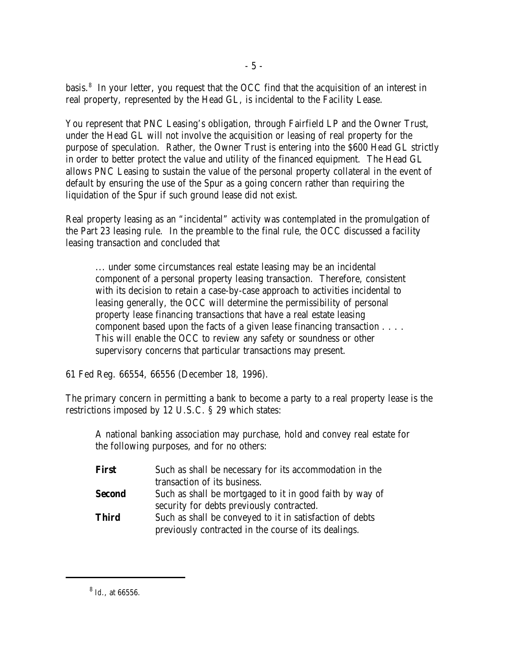basis.<sup>8</sup> In your letter, you request that the OCC find that the acquisition of an interest in real property, represented by the Head GL, is incidental to the Facility Lease.

You represent that PNC Leasing's obligation, through Fairfield LP and the Owner Trust, under the Head GL will not involve the acquisition or leasing of real property for the purpose of speculation. Rather, the Owner Trust is entering into the \$600 Head GL strictly in order to better protect the value and utility of the financed equipment. The Head GL allows PNC Leasing to sustain the value of the personal property collateral in the event of default by ensuring the use of the Spur as a going concern rather than requiring the liquidation of the Spur if such ground lease did not exist.

Real property leasing as an "incidental" activity was contemplated in the promulgation of the Part 23 leasing rule. In the preamble to the final rule, the OCC discussed a facility leasing transaction and concluded that

... under some circumstances real estate leasing may be an incidental component of a personal property leasing transaction. Therefore, consistent with its decision to retain a case-by-case approach to activities incidental to leasing generally, the OCC will determine the permissibility of personal property lease financing transactions that have a real estate leasing component based upon the facts of a given lease financing transaction . . . . This will enable the OCC to review any safety or soundness or other supervisory concerns that particular transactions may present.

61 Fed Reg. 66554, 66556 (December 18, 1996).

The primary concern in permitting a bank to become a party to a real property lease is the restrictions imposed by 12 U.S.C. § 29 which states:

A national banking association may purchase, hold and convey real estate for the following purposes, and for no others:

| <b>First</b>  | Such as shall be necessary for its accommodation in the  |
|---------------|----------------------------------------------------------|
|               | transaction of its business.                             |
| <b>Second</b> | Such as shall be mortgaged to it in good faith by way of |
|               | security for debts previously contracted.                |
| <b>Third</b>  | Such as shall be conveyed to it in satisfaction of debts |
|               | previously contracted in the course of its dealings.     |

<sup>&</sup>lt;sup>8</sup> *Id.*, at 66556.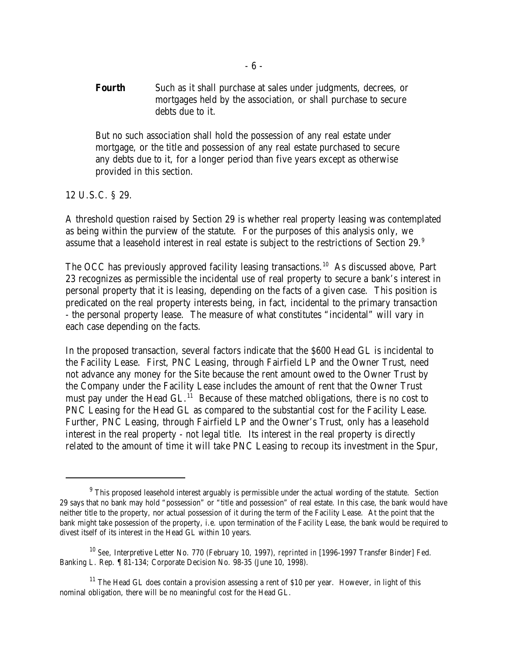**Fourth** Such as it shall purchase at sales under judgments, decrees, or mortgages held by the association, or shall purchase to secure debts due to it.

But no such association shall hold the possession of any real estate under mortgage, or the title and possession of any real estate purchased to secure any debts due to it, for a longer period than five years except as otherwise provided in this section.

12 U.S.C. § 29.

A threshold question raised by Section 29 is whether real property leasing was contemplated as being within the purview of the statute. For the purposes of this analysis only, we assume that a leasehold interest in real estate is subject to the restrictions of Section 29.<sup>9</sup>

The OCC has previously approved facility leasing transactions.<sup>10</sup> As discussed above, Part 23 recognizes as permissible the incidental use of real property to secure a bank's interest in personal property that it is leasing, depending on the facts of a given case. This position is predicated on the real property interests being, in fact, incidental to the primary transaction - the personal property lease. The measure of what constitutes "incidental" will vary in each case depending on the facts.

In the proposed transaction, several factors indicate that the \$600 Head GL is incidental to the Facility Lease. First, PNC Leasing, through Fairfield LP and the Owner Trust, need not advance any money for the Site because the rent amount owed to the Owner Trust by the Company under the Facility Lease includes the amount of rent that the Owner Trust must pay under the Head GL.<sup> $11$ </sup> Because of these matched obligations, there is no cost to PNC Leasing for the Head GL as compared to the substantial cost for the Facility Lease. Further, PNC Leasing, through Fairfield LP and the Owner's Trust, only has a leasehold interest in the real property - not legal title. Its interest in the real property is directly related to the amount of time it will take PNC Leasing to recoup its investment in the Spur,

 $9$  This proposed leasehold interest arguably is permissible under the actual wording of the statute. Section 29 says that no bank may hold "possession" or "title and possession" of real estate. In this case, the bank would have neither title to the property, nor actual possession of it during the term of the Facility Lease. At the point that the bank might take possession of the property, i.e. upon termination of the Facility Lease, the bank would be required to divest itself of its interest in the Head GL within 10 years.

<sup>&</sup>lt;sup>10</sup> See, Interpretive Letter No. 770 (February 10, 1997), *reprinted in* [1996-1997 Transfer Binder] Fed. Banking L. Rep. ¶ 81-134; Corporate Decision No. 98-35 (June 10, 1998).

 $11$  The Head GL does contain a provision assessing a rent of \$10 per year. However, in light of this nominal obligation, there will be no meaningful cost for the Head GL.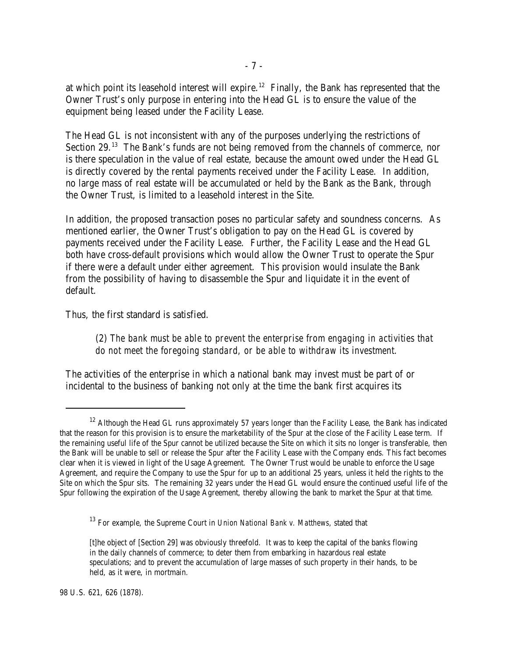at which point its leasehold interest will expire.<sup>12</sup> Finally, the Bank has represented that the Owner Trust's only purpose in entering into the Head GL is to ensure the value of the equipment being leased under the Facility Lease.

The Head GL is not inconsistent with any of the purposes underlying the restrictions of Section  $29.^{13}$  The Bank's funds are not being removed from the channels of commerce, nor is there speculation in the value of real estate, because the amount owed under the Head GL is directly covered by the rental payments received under the Facility Lease. In addition, no large mass of real estate will be accumulated or held by the Bank as the Bank, through the Owner Trust, is limited to a leasehold interest in the Site.

In addition, the proposed transaction poses no particular safety and soundness concerns. As mentioned earlier, the Owner Trust's obligation to pay on the Head GL is covered by payments received under the Facility Lease. Further, the Facility Lease and the Head GL both have cross-default provisions which would allow the Owner Trust to operate the Spur if there were a default under either agreement. This provision would insulate the Bank from the possibility of having to disassemble the Spur and liquidate it in the event of default.

Thus, the first standard is satisfied.

(2) *The bank must be able to prevent the enterprise from engaging in activities that do not meet the foregoing standard, or be able to withdraw its investment.*

The activities of the enterprise in which a national bank may invest must be part of or incidental to the business of banking not only at the time the bank first acquires its

 $12$  Although the Head GL runs approximately 57 years longer than the Facility Lease, the Bank has indicated that the reason for this provision is to ensure the marketability of the Spur at the close of the Facility Lease term. If the remaining useful life of the Spur cannot be utilized because the Site on which it sits no longer is transferable, then the Bank will be unable to sell or release the Spur after the Facility Lease with the Company ends. This fact becomes clear when it is viewed in light of the Usage Agreement. The Owner Trust would be unable to enforce the Usage Agreement, and require the Company to use the Spur for up to an additional 25 years, unless it held the rights to the Site on which the Spur sits. The remaining 32 years under the Head GL would ensure the continued useful life of the Spur following the expiration of the Usage Agreement, thereby allowing the bank to market the Spur at that time.

<sup>&</sup>lt;sup>13</sup> For example, the Supreme Court in *Union National Bank v. Matthews*, stated that

<sup>[</sup>t]he object of [Section 29] was obviously threefold. It was to keep the capital of the banks flowing in the daily channels of commerce; to deter them from embarking in hazardous real estate speculations; and to prevent the accumulation of large masses of such property in their hands, to be held, as it were, in mortmain.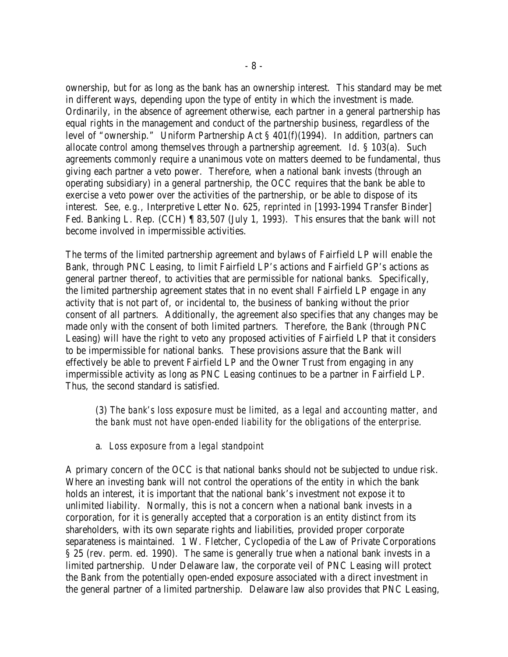ownership, but for as long as the bank has an ownership interest. This standard may be met in different ways, depending upon the type of entity in which the investment is made. Ordinarily, in the absence of agreement otherwise, each partner in a general partnership has equal rights in the management and conduct of the partnership business, regardless of the level of "ownership." Uniform Partnership Act § 401(f)(1994). In addition, partners can allocate control among themselves through a partnership agreement. *Id*. § 103(a). Such agreements commonly require a unanimous vote on matters deemed to be fundamental, thus giving each partner a veto power. Therefore, when a national bank invests (through an operating subsidiary) in a general partnership, the OCC requires that the bank be able to exercise a veto power over the activities of the partnership, or be able to dispose of its interest. *See, e.g.,* Interpretive Letter No. 625, *reprinted in* [1993-1994 Transfer Binder] Fed. Banking L. Rep. (CCH) ¶ 83,507 (July 1, 1993). This ensures that the bank will not become involved in impermissible activities.

The terms of the limited partnership agreement and bylaws of Fairfield LP will enable the Bank, through PNC Leasing, to limit Fairfield LP's actions and Fairfield GP's actions as general partner thereof, to activities that are permissible for national banks. Specifically, the limited partnership agreement states that in no event shall Fairfield LP engage in any activity that is not part of, or incidental to, the business of banking without the prior consent of all partners. Additionally, the agreement also specifies that any changes may be made only with the consent of both limited partners. Therefore, the Bank (through PNC Leasing) will have the right to veto any proposed activities of Fairfield LP that it considers to be impermissible for national banks. These provisions assure that the Bank will effectively be able to prevent Fairfield LP and the Owner Trust from engaging in any impermissible activity as long as PNC Leasing continues to be a partner in Fairfield LP. Thus, the second standard is satisfied.

(3) *The bank's loss exposure must be limited, as a legal and accounting matter, and the bank must not have open-ended liability for the obligations of the enterprise.*

## a*. Loss exposure from a legal standpoint*

A primary concern of the OCC is that national banks should not be subjected to undue risk. Where an investing bank will not control the operations of the entity in which the bank holds an interest, it is important that the national bank's investment not expose it to unlimited liability. Normally, this is not a concern when a national bank invests in a corporation, for it is generally accepted that a corporation is an entity distinct from its shareholders, with its own separate rights and liabilities, provided proper corporate separateness is maintained. 1 W. Fletcher, Cyclopedia of the Law of Private Corporations § 25 (rev. perm. ed. 1990). The same is generally true when a national bank invests in a limited partnership. Under Delaware law, the corporate veil of PNC Leasing will protect the Bank from the potentially open-ended exposure associated with a direct investment in the general partner of a limited partnership. Delaware law also provides that PNC Leasing,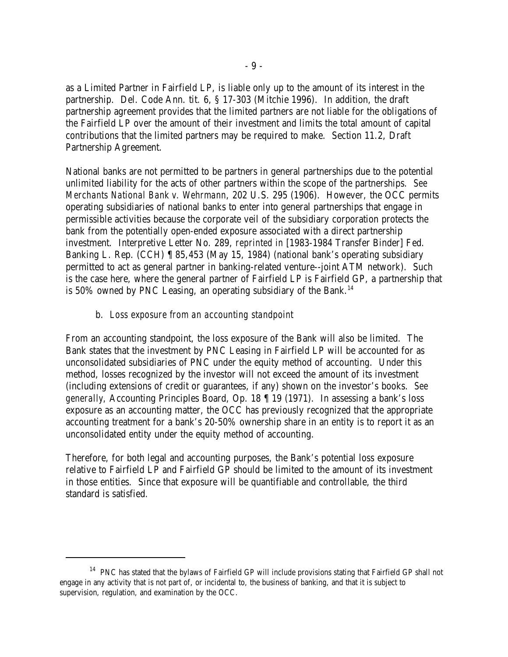as a Limited Partner in Fairfield LP, is liable only up to the amount of its interest in the partnership. Del. Code Ann. tit. 6, § 17-303 (Mitchie 1996). In addition, the draft partnership agreement provides that the limited partners are not liable for the obligations of the Fairfield LP over the amount of their investment and limits the total amount of capital contributions that the limited partners may be required to make. Section 11.2, Draft Partnership Agreement.

National banks are not permitted to be partners in general partnerships due to the potential unlimited liability for the acts of other partners within the scope of the partnerships. *See Merchants National Bank v. Wehrmann*, 202 U.S. 295 (1906). However, the OCC permits operating subsidiaries of national banks to enter into general partnerships that engage in permissible activities because the corporate veil of the subsidiary corporation protects the bank from the potentially open-ended exposure associated with a direct partnership investment. Interpretive Letter No. 289, *reprinted in* [1983-1984 Transfer Binder] Fed. Banking L. Rep. (CCH) ¶ 85,453 (May 15, 1984) (national bank's operating subsidiary permitted to act as general partner in banking-related venture--joint ATM network). Such is the case here, where the general partner of Fairfield LP is Fairfield GP, a partnership that is  $50\%$  owned by PNC Leasing, an operating subsidiary of the Bank.<sup>14</sup>

# b. *Loss exposure from an accounting standpoint*

From an accounting standpoint, the loss exposure of the Bank will also be limited. The Bank states that the investment by PNC Leasing in Fairfield LP will be accounted for as unconsolidated subsidiaries of PNC under the equity method of accounting. Under this method, losses recognized by the investor will not exceed the amount of its investment (including extensions of credit or guarantees, if any) shown on the investor's books. *See generally,* Accounting Principles Board, Op. 18 ¶ 19 (1971). In assessing a bank's loss exposure as an accounting matter, the OCC has previously recognized that the appropriate accounting treatment for a bank's 20-50% ownership share in an entity is to report it as an unconsolidated entity under the equity method of accounting.

Therefore, for both legal and accounting purposes, the Bank's potential loss exposure relative to Fairfield LP and Fairfield GP should be limited to the amount of its investment in those entities. Since that exposure will be quantifiable and controllable, the third standard is satisfied.

 $14$  PNC has stated that the bylaws of Fairfield GP will include provisions stating that Fairfield GP shall not engage in any activity that is not part of, or incidental to, the business of banking, and that it is subject to supervision, regulation, and examination by the OCC.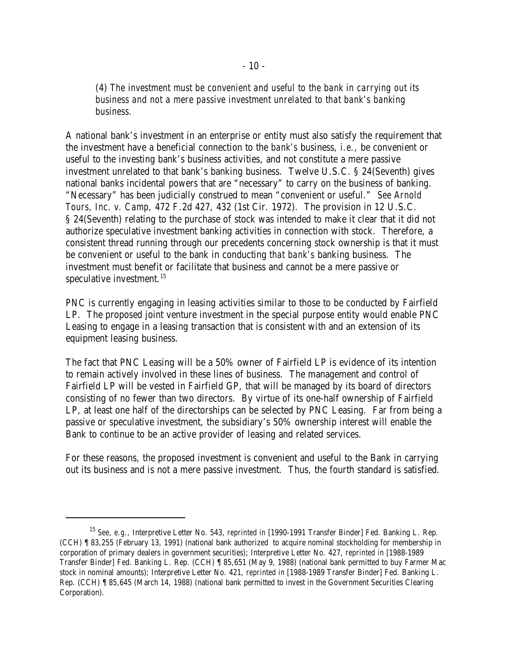(4) *The investment must be convenient and useful to the bank in carrying out its business and not a mere passive investment unrelated to that bank's banking business.*

A national bank's investment in an enterprise or entity must also satisfy the requirement that the investment have a beneficial connection to the *bank's* business, *i.e.,* be convenient or useful to the investing bank's business activities, and not constitute a mere passive investment unrelated to that bank's banking business. Twelve U.S.C. § 24(Seventh) gives national banks incidental powers that are "necessary" to carry on the business of banking. "Necessary" has been judicially construed to mean "convenient or useful." *See Arnold Tours, Inc. v. Camp,* 472 F.2d 427, 432 (1st Cir. 1972). The provision in 12 U.S.C. § 24(Seventh) relating to the purchase of stock was intended to make it clear that it did not authorize speculative investment banking activities in connection with stock. Therefore, a consistent thread running through our precedents concerning stock ownership is that it must be convenient or useful to the bank in conducting *that bank's* banking business. The investment must benefit or facilitate that business and cannot be a mere passive or speculative investment. $15$ 

PNC is currently engaging in leasing activities similar to those to be conducted by Fairfield LP. The proposed joint venture investment in the special purpose entity would enable PNC Leasing to engage in a leasing transaction that is consistent with and an extension of its equipment leasing business.

The fact that PNC Leasing will be a 50% owner of Fairfield LP is evidence of its intention to remain actively involved in these lines of business. The management and control of Fairfield LP will be vested in Fairfield GP, that will be managed by its board of directors consisting of no fewer than two directors. By virtue of its one-half ownership of Fairfield LP, at least one half of the directorships can be selected by PNC Leasing. Far from being a passive or speculative investment, the subsidiary's 50% ownership interest will enable the Bank to continue to be an active provider of leasing and related services.

For these reasons, the proposed investment is convenient and useful to the Bank in carrying out its business and is not a mere passive investment. Thus, the fourth standard is satisfied.

<sup>&</sup>lt;sup>15</sup> See, e.g., Interpretive Letter No. 543, *reprinted in* [1990-1991 Transfer Binder] Fed. Banking L. Rep. (CCH) ¶ 83,255 (February 13, 1991) (national bank authorized to acquire nominal stockholding for membership in corporation of primary dealers in government securities); Interpretive Letter No. 427, *reprinted in* [1988-1989 Transfer Binder] Fed. Banking L. Rep. (CCH) ¶ 85,651 (May 9, 1988) (national bank permitted to buy Farmer Mac stock in nominal amounts); Interpretive Letter No. 421, *reprinted in* [1988-1989 Transfer Binder] Fed. Banking L. Rep. (CCH) ¶ 85,645 (March 14, 1988) (national bank permitted to invest in the Government Securities Clearing Corporation).